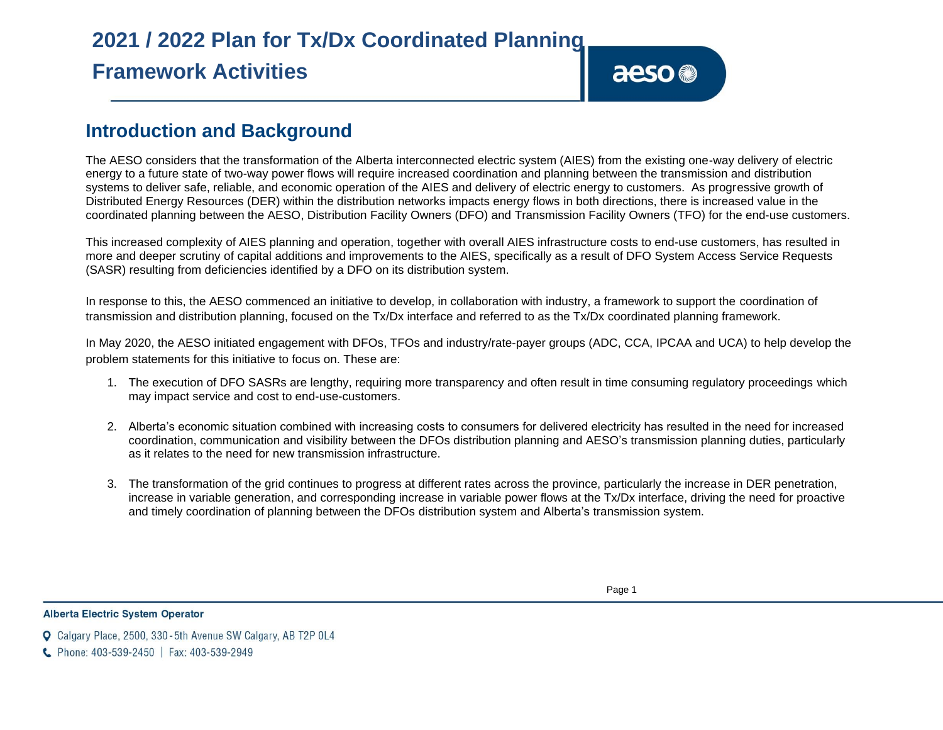# **Introduction and Background**

The AESO considers that the transformation of the Alberta interconnected electric system (AIES) from the existing one-way delivery of electric energy to a future state of two-way power flows will require increased coordination and planning between the transmission and distribution systems to deliver safe, reliable, and economic operation of the AIES and delivery of electric energy to customers. As progressive growth of Distributed Energy Resources (DER) within the distribution networks impacts energy flows in both directions, there is increased value in the coordinated planning between the AESO, Distribution Facility Owners (DFO) and Transmission Facility Owners (TFO) for the end-use customers.

This increased complexity of AIES planning and operation, together with overall AIES infrastructure costs to end-use customers, has resulted in more and deeper scrutiny of capital additions and improvements to the AIES, specifically as a result of DFO System Access Service Requests (SASR) resulting from deficiencies identified by a DFO on its distribution system.

In response to this, the AESO commenced an initiative to develop, in collaboration with industry, a framework to support the coordination of transmission and distribution planning, focused on the Tx/Dx interface and referred to as the Tx/Dx coordinated planning framework.

In May 2020, the AESO initiated engagement with DFOs, TFOs and industry/rate-payer groups (ADC, CCA, IPCAA and UCA) to help develop the problem statements for this initiative to focus on. These are:

- 1. The execution of DFO SASRs are lengthy, requiring more transparency and often result in time consuming regulatory proceedings which may impact service and cost to end-use-customers.
- 2. Alberta's economic situation combined with increasing costs to consumers for delivered electricity has resulted in the need for increased coordination, communication and visibility between the DFOs distribution planning and AESO's transmission planning duties, particularly as it relates to the need for new transmission infrastructure.
- 3. The transformation of the grid continues to progress at different rates across the province, particularly the increase in DER penetration, increase in variable generation, and corresponding increase in variable power flows at the Tx/Dx interface, driving the need for proactive and timely coordination of planning between the DFOs distribution system and Alberta's transmission system.

aeso<sup>®</sup>

**Alberta Electric System Operator** 

C Phone: 403-539-2450 | Fax: 403-539-2949

**Q** Calgary Place, 2500, 330-5th Avenue SW Calgary, AB T2P 0L4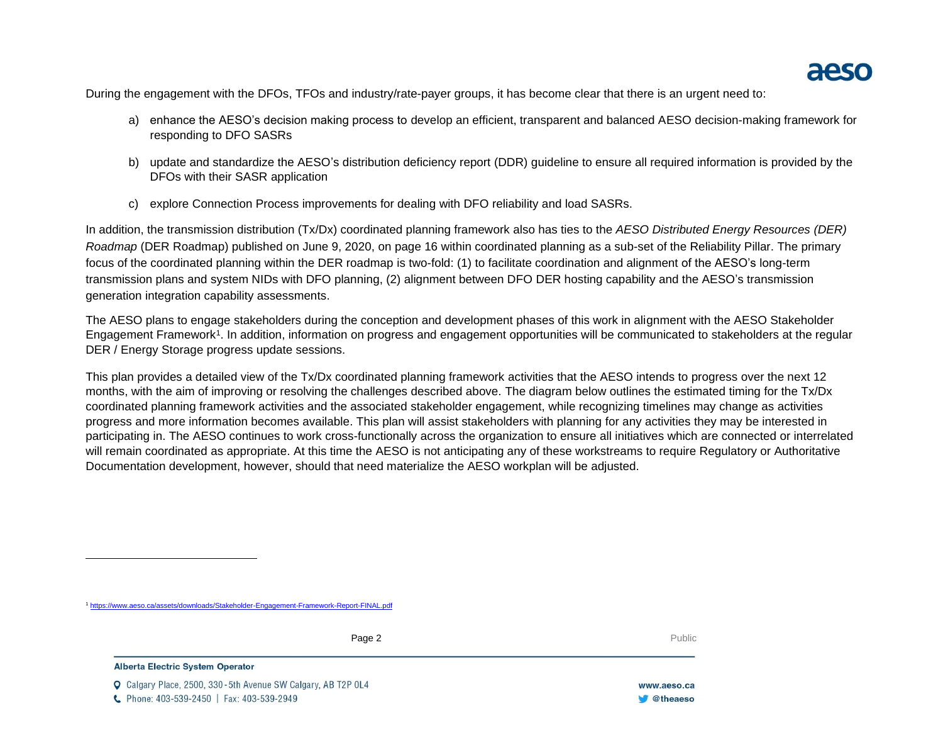During the engagement with the DFOs, TFOs and industry/rate-payer groups, it has become clear that there is an urgent need to:

- a) enhance the AESO's decision making process to develop an efficient, transparent and balanced AESO decision-making framework for responding to DFO SASRs
- b) update and standardize the AESO's distribution deficiency report (DDR) guideline to ensure all required information is provided by the DFOs with their SASR application
- c) explore Connection Process improvements for dealing with DFO reliability and load SASRs.

In addition, the transmission distribution (Tx/Dx) coordinated planning framework also has ties to the *AESO Distributed Energy Resources (DER) Roadmap* (DER Roadmap) published on June 9, 2020, on page 16 within coordinated planning as a sub-set of the Reliability Pillar. The primary focus of the coordinated planning within the DER roadmap is two-fold: (1) to facilitate coordination and alignment of the AESO's long-term transmission plans and system NIDs with DFO planning, (2) alignment between DFO DER hosting capability and the AESO's transmission generation integration capability assessments.

The AESO plans to engage stakeholders during the conception and development phases of this work in alignment with the AESO Stakeholder Engagement Framework<sup>1</sup>. In addition, information on progress and engagement opportunities will be communicated to stakeholders at the regular DER / Energy Storage progress update sessions.

This plan provides a detailed view of the Tx/Dx coordinated planning framework activities that the AESO intends to progress over the next 12 months, with the aim of improving or resolving the challenges described above. The diagram below outlines the estimated timing for the Tx/Dx coordinated planning framework activities and the associated stakeholder engagement, while recognizing timelines may change as activities progress and more information becomes available. This plan will assist stakeholders with planning for any activities they may be interested in participating in. The AESO continues to work cross-functionally across the organization to ensure all initiatives which are connected or interrelated will remain coordinated as appropriate. At this time the AESO is not anticipating any of these workstreams to require Regulatory or Authoritative Documentation development, however, should that need materialize the AESO workplan will be adjusted.

Page 2 **Public** Public **Properties All and Public Public Public Public Public Public Public Public Public Public Public Public Public Public Public Public Public Public Public Public Public Public Public Public Public Publ** 

### **Alberta Electric System Operator**

Calgary Place, 2500, 330-5th Avenue SW Calgary, AB T2P 0L4 C Phone: 403-539-2450 | Fax: 403-539-2949

<sup>1</sup> <https://www.aeso.ca/assets/downloads/Stakeholder-Engagement-Framework-Report-FINAL.pdf>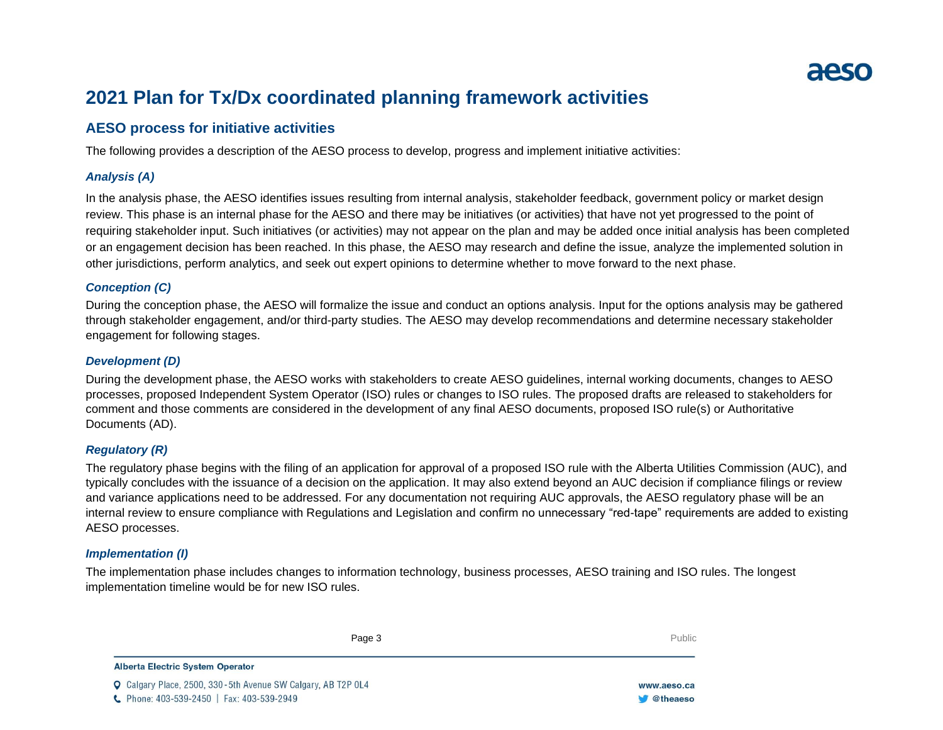

# **2021 Plan for Tx/Dx coordinated planning framework activities**

# **AESO process for initiative activities**

The following provides a description of the AESO process to develop, progress and implement initiative activities:

# *Analysis (A)*

In the analysis phase, the AESO identifies issues resulting from internal analysis, stakeholder feedback, government policy or market design review. This phase is an internal phase for the AESO and there may be initiatives (or activities) that have not yet progressed to the point of requiring stakeholder input. Such initiatives (or activities) may not appear on the plan and may be added once initial analysis has been completed or an engagement decision has been reached. In this phase, the AESO may research and define the issue, analyze the implemented solution in other jurisdictions, perform analytics, and seek out expert opinions to determine whether to move forward to the next phase.

# *Conception (C)*

During the conception phase, the AESO will formalize the issue and conduct an options analysis. Input for the options analysis may be gathered through stakeholder engagement, and/or third-party studies. The AESO may develop recommendations and determine necessary stakeholder engagement for following stages.

# *Development (D)*

During the development phase, the AESO works with stakeholders to create AESO guidelines, internal working documents, changes to AESO processes, proposed Independent System Operator (ISO) rules or changes to ISO rules. The proposed drafts are released to stakeholders for comment and those comments are considered in the development of any final AESO documents, proposed ISO rule(s) or Authoritative Documents (AD).

# *Regulatory (R)*

The regulatory phase begins with the filing of an application for approval of a proposed ISO rule with the Alberta Utilities Commission (AUC), and typically concludes with the issuance of a decision on the application. It may also extend beyond an AUC decision if compliance filings or review and variance applications need to be addressed. For any documentation not requiring AUC approvals, the AESO regulatory phase will be an internal review to ensure compliance with Regulations and Legislation and confirm no unnecessary "red-tape" requirements are added to existing AESO processes.

# *Implementation (I)*

The implementation phase includes changes to information technology, business processes, AESO training and ISO rules. The longest implementation timeline would be for new ISO rules.

|                                                                     | Public |             |
|---------------------------------------------------------------------|--------|-------------|
| <b>Alberta Electric System Operator</b>                             |        |             |
| <b>Q</b> Calgary Place, 2500, 330-5th Avenue SW Calgary, AB T2P 0L4 |        | www.aeso.ca |
| C Phone: 403-539-2450   Fax: 403-539-2949                           |        | @theaeso    |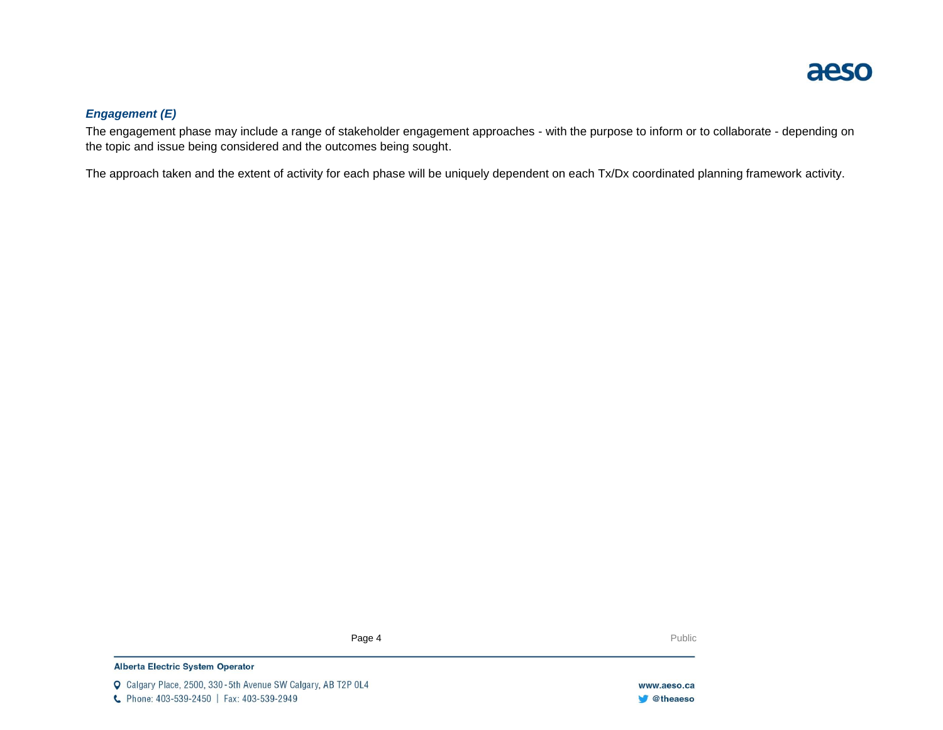

# *Engagement (E)*

The engagement phase may include a range of stakeholder engagement approaches - with the purpose to inform or to collaborate - depending on the topic and issue being considered and the outcomes being sought.

The approach taken and the extent of activity for each phase will be uniquely dependent on each Tx/Dx coordinated planning framework activity.

Page 4 **Public** Public **Page 4 Public Public** Public **Public Public Public Public Public Public Public Public Public Public Public Public Public Public Public Public Public Public Public Public Public Public Public Publi** 

## **Alberta Electric System Operator**

Q Calgary Place, 2500, 330-5th Avenue SW Calgary, AB T2P 0L4 C Phone: 403-539-2450 | Fax: 403-539-2949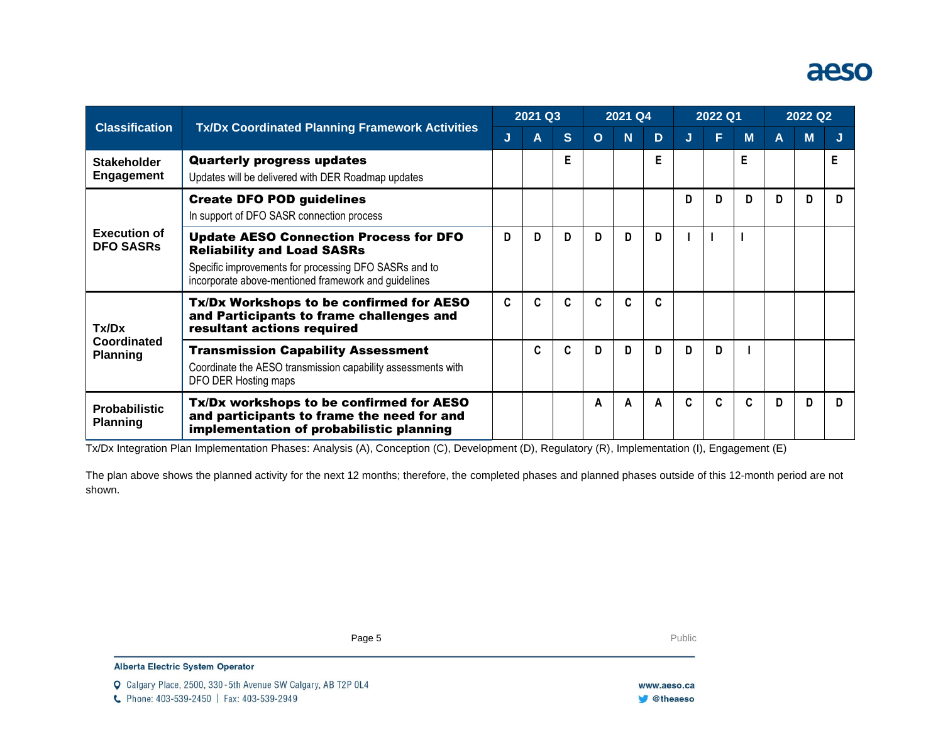# aeso

| <b>Classification</b><br><b>Tx/Dx Coordinated Planning Framework Activities</b> | 2021 Q3                                                                                                                                                                                             |    |   | 2021 Q4 |          |          | 2022 Q1 |             |   | 2022 Q2 |   |   |    |
|---------------------------------------------------------------------------------|-----------------------------------------------------------------------------------------------------------------------------------------------------------------------------------------------------|----|---|---------|----------|----------|---------|-------------|---|---------|---|---|----|
|                                                                                 |                                                                                                                                                                                                     | J  | Α | S       | $\Omega$ | <b>N</b> | D       | J           | F | M       | A | M | IJ |
| <b>Stakeholder</b><br><b>Engagement</b>                                         | <b>Quarterly progress updates</b><br>Updates will be delivered with DER Roadmap updates                                                                                                             |    |   | E       |          |          | Е       |             |   | F       |   |   | Е  |
| <b>Execution of</b><br><b>DFO SASRS</b>                                         | <b>Create DFO POD guidelines</b><br>In support of DFO SASR connection process                                                                                                                       |    |   |         |          |          |         | D           | D | D       | D | D | D  |
|                                                                                 | <b>Update AESO Connection Process for DFO</b><br><b>Reliability and Load SASRs</b><br>Specific improvements for processing DFO SASRs and to<br>incorporate above-mentioned framework and guidelines | D  | D | D.      | D        | D        | D       |             |   |         |   |   |    |
| Tx/Dx<br>Coordinated<br><b>Planning</b>                                         | Tx/Dx Workshops to be confirmed for AESO<br>and Participants to frame challenges and<br>resultant actions required                                                                                  | C. | C | C       | C        | C        | C.      |             |   |         |   |   |    |
|                                                                                 | <b>Transmission Capability Assessment</b><br>Coordinate the AESO transmission capability assessments with<br>DFO DER Hosting maps                                                                   |    | C | C.      | D.       | D        | D.      | D           | D |         |   |   |    |
| <b>Probabilistic</b><br><b>Planning</b>                                         | Tx/Dx workshops to be confirmed for AESO<br>and participants to frame the need for and<br>implementation of probabilistic planning                                                                  |    |   |         | A        | A        | A       | $\mathbf c$ | C | C       | D | D | D. |

Tx/Dx Integration Plan Implementation Phases: Analysis (A), Conception (C), Development (D), Regulatory (R), Implementation (I), Engagement (E)

The plan above shows the planned activity for the next 12 months; therefore, the completed phases and planned phases outside of this 12-month period are not shown.

**Page 5** Public Page 5 **Public Public Public Public Public Public Public Public Public Public Public Public Public Public Public Public Public Public Public Public Public Public Public Public Public Public Public Public Pu**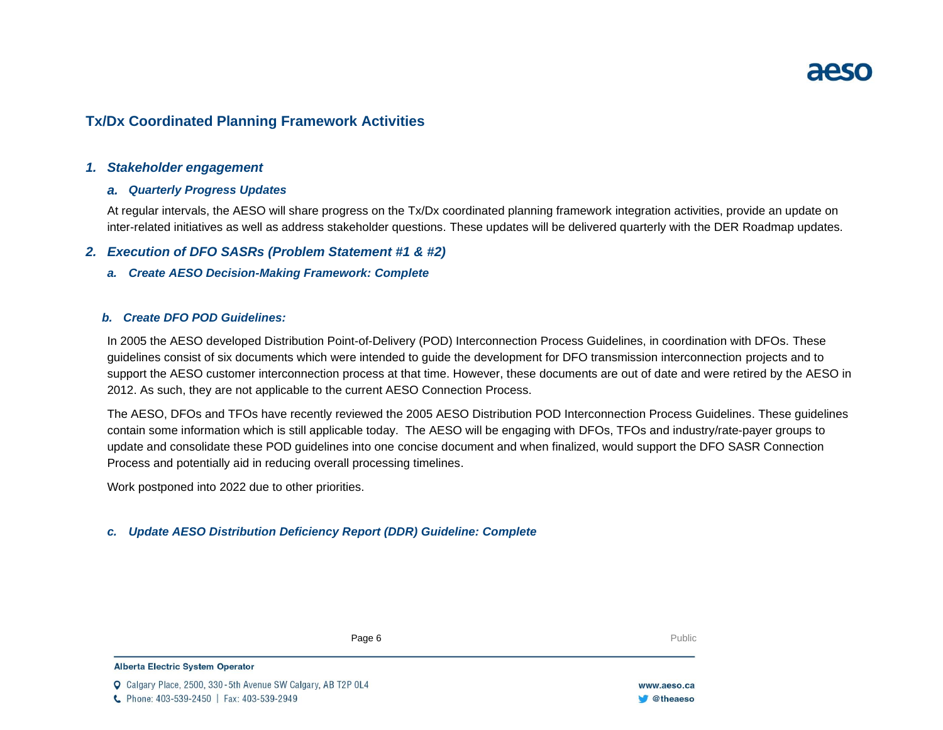# **Tx/Dx Coordinated Planning Framework Activities**

# *1. Stakeholder engagement*

# *a. Quarterly Progress Updates*

At regular intervals, the AESO will share progress on the Tx/Dx coordinated planning framework integration activities, provide an update on inter-related initiatives as well as address stakeholder questions. These updates will be delivered quarterly with the DER Roadmap updates.

# *2. Execution of DFO SASRs (Problem Statement #1 & #2)*

*a. Create AESO Decision-Making Framework: Complete*

# *b. Create DFO POD Guidelines:*

In 2005 the AESO developed Distribution Point-of-Delivery (POD) Interconnection Process Guidelines, in coordination with DFOs. These guidelines consist of six documents which were intended to guide the development for DFO transmission interconnection projects and to support the AESO customer interconnection process at that time. However, these documents are out of date and were retired by the AESO in 2012. As such, they are not applicable to the current AESO Connection Process.

The AESO, DFOs and TFOs have recently reviewed the 2005 AESO Distribution POD Interconnection Process Guidelines. These guidelines contain some information which is still applicable today. The AESO will be engaging with DFOs, TFOs and industry/rate-payer groups to update and consolidate these POD guidelines into one concise document and when finalized, would support the DFO SASR Connection Process and potentially aid in reducing overall processing timelines.

Work postponed into 2022 due to other priorities.

# *c. Update AESO Distribution Deficiency Report (DDR) Guideline: Complete*

Page 6 **Public** Public Public Public Public Public Public Public Public Public Public Public Public Public Public Public Public Public Public Public Public Public Public Public Public Public Public Public Public Public Pub

### Alberta Electric System Operator

Calgary Place, 2500, 330-5th Avenue SW Calgary, AB T2P 0L4 C Phone: 403-539-2450 | Fax: 403-539-2949

www.aeso.ca **Otheaeso**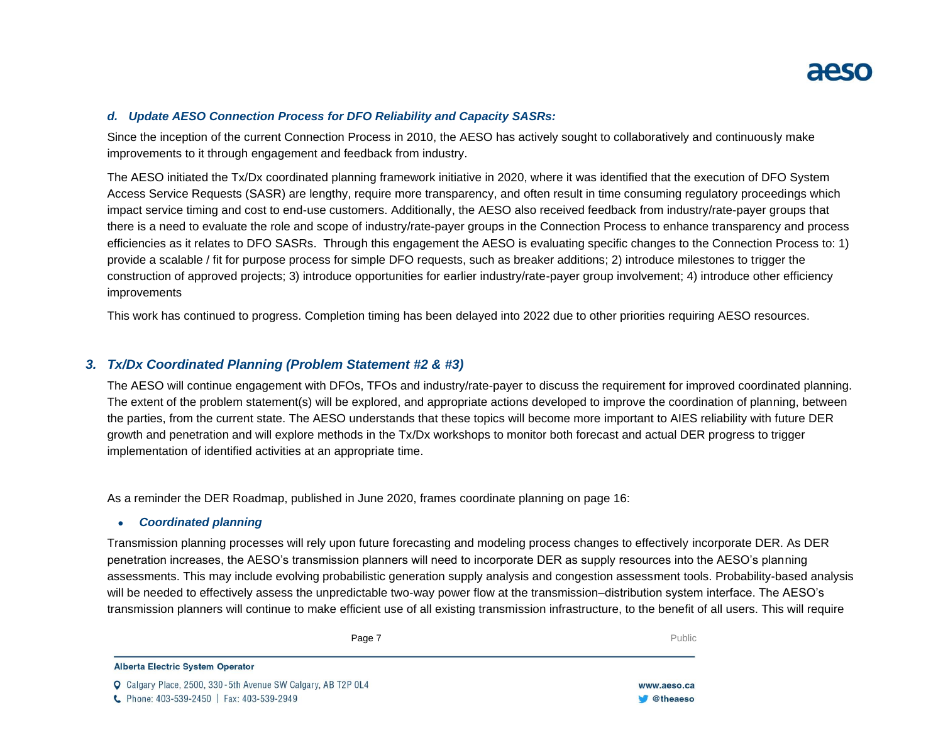# *d. Update AESO Connection Process for DFO Reliability and Capacity SASRs:*

Since the inception of the current Connection Process in 2010, the AESO has actively sought to collaboratively and continuously make improvements to it through engagement and feedback from industry.

The AESO initiated the Tx/Dx coordinated planning framework initiative in 2020, where it was identified that the execution of DFO System Access Service Requests (SASR) are lengthy, require more transparency, and often result in time consuming regulatory proceedings which impact service timing and cost to end-use customers. Additionally, the AESO also received feedback from industry/rate-payer groups that there is a need to evaluate the role and scope of industry/rate-payer groups in the Connection Process to enhance transparency and process efficiencies as it relates to DFO SASRs. Through this engagement the AESO is evaluating specific changes to the Connection Process to: 1) provide a scalable / fit for purpose process for simple DFO requests, such as breaker additions; 2) introduce milestones to trigger the construction of approved projects; 3) introduce opportunities for earlier industry/rate-payer group involvement; 4) introduce other efficiency improvements

This work has continued to progress. Completion timing has been delayed into 2022 due to other priorities requiring AESO resources.

# *3. Tx/Dx Coordinated Planning (Problem Statement #2 & #3)*

The AESO will continue engagement with DFOs, TFOs and industry/rate-payer to discuss the requirement for improved coordinated planning. The extent of the problem statement(s) will be explored, and appropriate actions developed to improve the coordination of planning, between the parties, from the current state. The AESO understands that these topics will become more important to AIES reliability with future DER growth and penetration and will explore methods in the Tx/Dx workshops to monitor both forecast and actual DER progress to trigger implementation of identified activities at an appropriate time.

As a reminder the DER Roadmap, published in June 2020, frames coordinate planning on page 16:

## • *Coordinated planning*

Transmission planning processes will rely upon future forecasting and modeling process changes to effectively incorporate DER. As DER penetration increases, the AESO's transmission planners will need to incorporate DER as supply resources into the AESO's planning assessments. This may include evolving probabilistic generation supply analysis and congestion assessment tools. Probability-based analysis will be needed to effectively assess the unpredictable two-way power flow at the transmission–distribution system interface. The AESO's transmission planners will continue to make efficient use of all existing transmission infrastructure, to the benefit of all users. This will require

**Enter Football Page 7** Public Public Public Public Public Public Public Public Public Public Public Public Public Public Public Public Public Public Public Public Public Public Public Public Public Public Public Public Pu